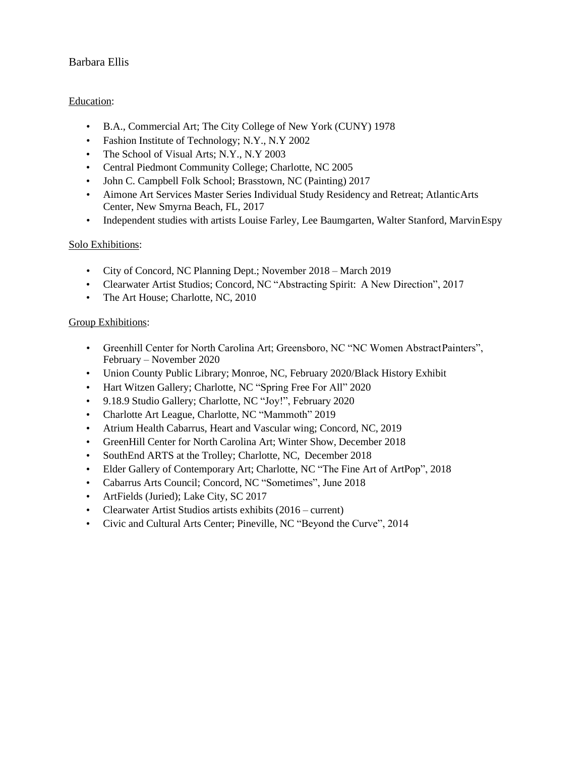# Barbara Ellis

# Education:

- B.A., Commercial Art; The City College of New York (CUNY) 1978
- Fashion Institute of Technology; N.Y., N.Y 2002
- The School of Visual Arts; N.Y., N.Y 2003
- Central Piedmont Community College; Charlotte, NC 2005
- John C. Campbell Folk School; Brasstown, NC (Painting) 2017
- Aimone Art Services Master Series Individual Study Residency and Retreat; AtlanticArts Center, New Smyrna Beach, FL, 2017
- Independent studies with artists Louise Farley, Lee Baumgarten, Walter Stanford, MarvinEspy

# Solo Exhibitions:

- City of Concord, NC Planning Dept.; November 2018 March 2019
- Clearwater Artist Studios; Concord, NC "Abstracting Spirit: A New Direction", 2017
- The Art House; Charlotte, NC, 2010

### Group Exhibitions:

- Greenhill Center for North Carolina Art; Greensboro, NC "NC Women AbstractPainters", February – November 2020
- Union County Public Library; Monroe, NC, February 2020/Black History Exhibit
- Hart Witzen Gallery; Charlotte, NC "Spring Free For All" 2020
- 9.18.9 Studio Gallery; Charlotte, NC "Joy!", February 2020
- Charlotte Art League, Charlotte, NC "Mammoth" 2019
- Atrium Health Cabarrus, Heart and Vascular wing; Concord, NC, 2019
- GreenHill Center for North Carolina Art; Winter Show, December 2018
- SouthEnd ARTS at the Trolley; Charlotte, NC, December 2018
- Elder Gallery of Contemporary Art; Charlotte, NC "The Fine Art of ArtPop", 2018
- Cabarrus Arts Council; Concord, NC "Sometimes", June 2018
- ArtFields (Juried); Lake City, SC 2017
- Clearwater Artist Studios artists exhibits (2016 current)
- Civic and Cultural Arts Center; Pineville, NC "Beyond the Curve", 2014